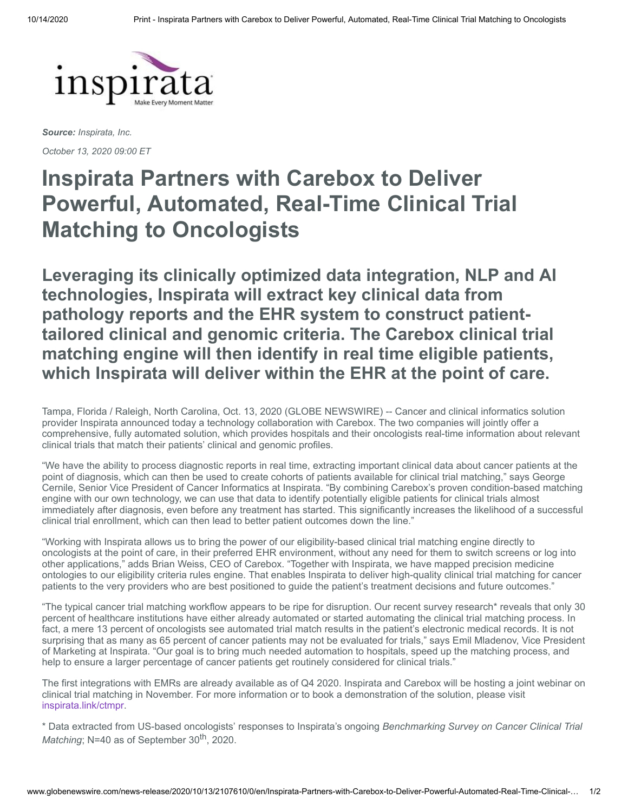

*Source: Inspirata, Inc.*

*October 13, 2020 09:00 ET*

# **Inspirata Partners with Carebox to Deliver Powerful, Automated, Real-Time Clinical Trial Matching to Oncologists**

**Leveraging its clinically optimized data integration, NLP and AI technologies, Inspirata will extract key clinical data from pathology reports and the EHR system to construct patienttailored clinical and genomic criteria. The Carebox clinical trial matching engine will then identify in real time eligible patients, which Inspirata will deliver within the EHR at the point of care.**

Tampa, Florida / Raleigh, North Carolina, Oct. 13, 2020 (GLOBE NEWSWIRE) -- Cancer and clinical informatics solution provider Inspirata announced today a technology collaboration with Carebox. The two companies will jointly offer a comprehensive, fully automated solution, which provides hospitals and their oncologists real-time information about relevant clinical trials that match their patients' clinical and genomic profiles.

"We have the ability to process diagnostic reports in real time, extracting important clinical data about cancer patients at the point of diagnosis, which can then be used to create cohorts of patients available for clinical trial matching," says George Cernile, Senior Vice President of Cancer Informatics at Inspirata. "By combining Carebox's proven condition-based matching engine with our own technology, we can use that data to identify potentially eligible patients for clinical trials almost immediately after diagnosis, even before any treatment has started. This significantly increases the likelihood of a successful clinical trial enrollment, which can then lead to better patient outcomes down the line."

"Working with Inspirata allows us to bring the power of our eligibility-based clinical trial matching engine directly to oncologists at the point of care, in their preferred EHR environment, without any need for them to switch screens or log into other applications," adds Brian Weiss, CEO of Carebox. "Together with Inspirata, we have mapped precision medicine ontologies to our eligibility criteria rules engine. That enables Inspirata to deliver high-quality clinical trial matching for cancer patients to the very providers who are best positioned to guide the patient's treatment decisions and future outcomes."

"The typical cancer trial matching workflow appears to be ripe for disruption. Our recent survey research\* reveals that only 30 percent of healthcare institutions have either already automated or started automating the clinical trial matching process. In fact, a mere 13 percent of oncologists see automated trial match results in the patient's electronic medical records. It is not surprising that as many as 65 percent of cancer patients may not be evaluated for trials," says Emil Mladenov, Vice President of Marketing at Inspirata. "Our goal is to bring much needed automation to hospitals, speed up the matching process, and help to ensure a larger percentage of cancer patients get routinely considered for clinical trials."

The first integrations with EMRs are already available as of Q4 2020. Inspirata and Carebox will be hosting a joint webinar on clinical trial matching in November. For more information or to book a demonstration of the solution, please visit [inspirata.link/ctmpr](https://www.globenewswire.com/Tracker?data=lErq_ez4wGc_NNYk20P2AYoPwdOkBP-AdBhTHnHGAcH3KXmgLWhztrmM1Yy2-NLlaeVzZ0u2ca-5Co3_lH1bLJcxjJ55fsk3FwJ0vnYFmNU=).

\* Data extracted from US-based oncologists' responses to Inspirata's ongoing *Benchmarking Survey on Cancer Clinical Trial* Matching; N=40 as of September 30<sup>th</sup>, 2020.